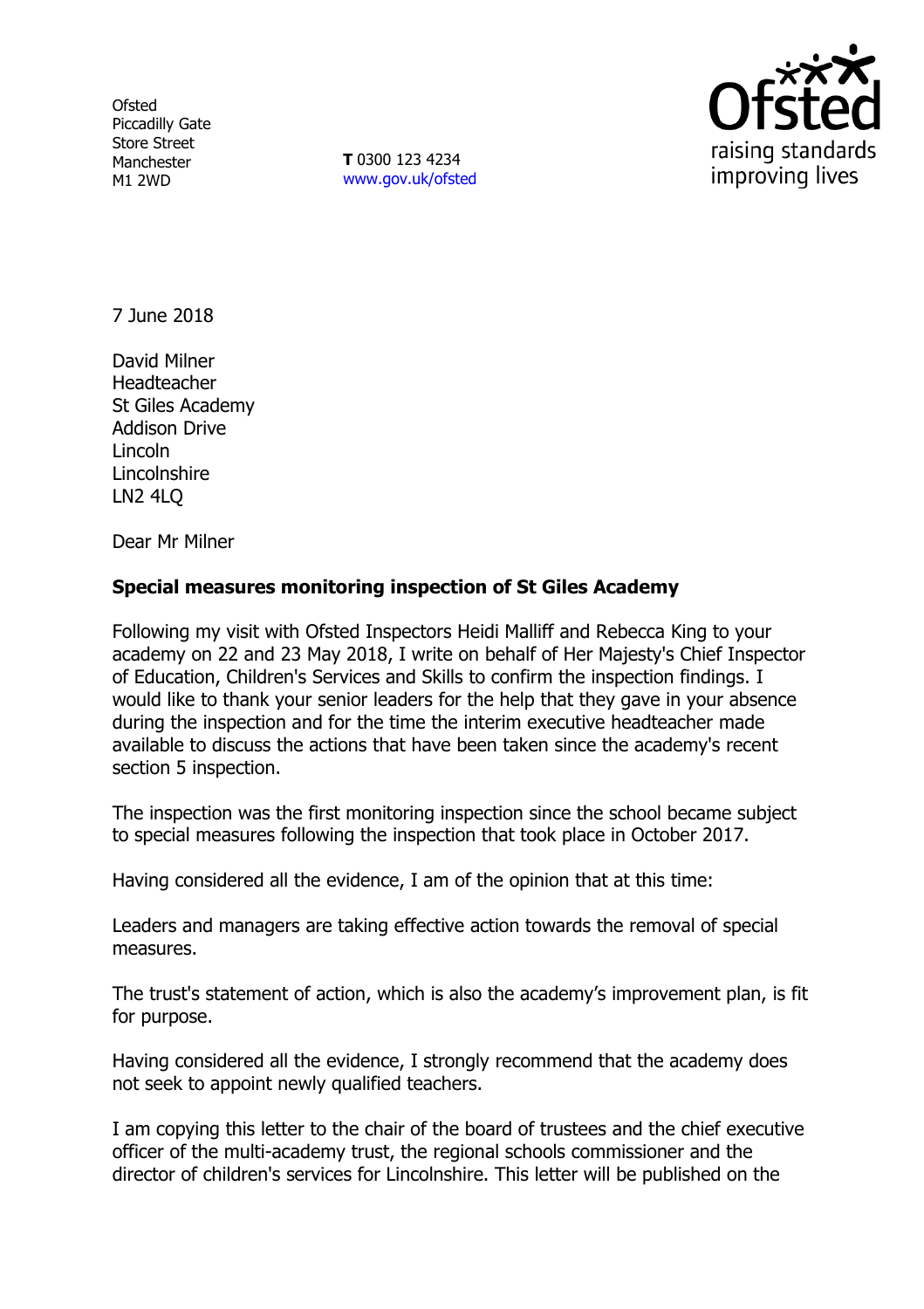**Ofsted** Piccadilly Gate Store Street Manchester M1 2WD

**T** 0300 123 4234 www.gov.uk/ofsted



7 June 2018

David Milner Headteacher St Giles Academy Addison Drive Lincoln **Lincolnshire** LN2 4LQ

Dear Mr Milner

# **Special measures monitoring inspection of St Giles Academy**

Following my visit with Ofsted Inspectors Heidi Malliff and Rebecca King to your academy on 22 and 23 May 2018, I write on behalf of Her Majesty's Chief Inspector of Education, Children's Services and Skills to confirm the inspection findings. I would like to thank your senior leaders for the help that they gave in your absence during the inspection and for the time the interim executive headteacher made available to discuss the actions that have been taken since the academy's recent section 5 inspection.

The inspection was the first monitoring inspection since the school became subject to special measures following the inspection that took place in October 2017.

Having considered all the evidence, I am of the opinion that at this time:

Leaders and managers are taking effective action towards the removal of special measures.

The trust's statement of action, which is also the academy's improvement plan, is fit for purpose.

Having considered all the evidence, I strongly recommend that the academy does not seek to appoint newly qualified teachers.

I am copying this letter to the chair of the board of trustees and the chief executive officer of the multi-academy trust, the regional schools commissioner and the director of children's services for Lincolnshire. This letter will be published on the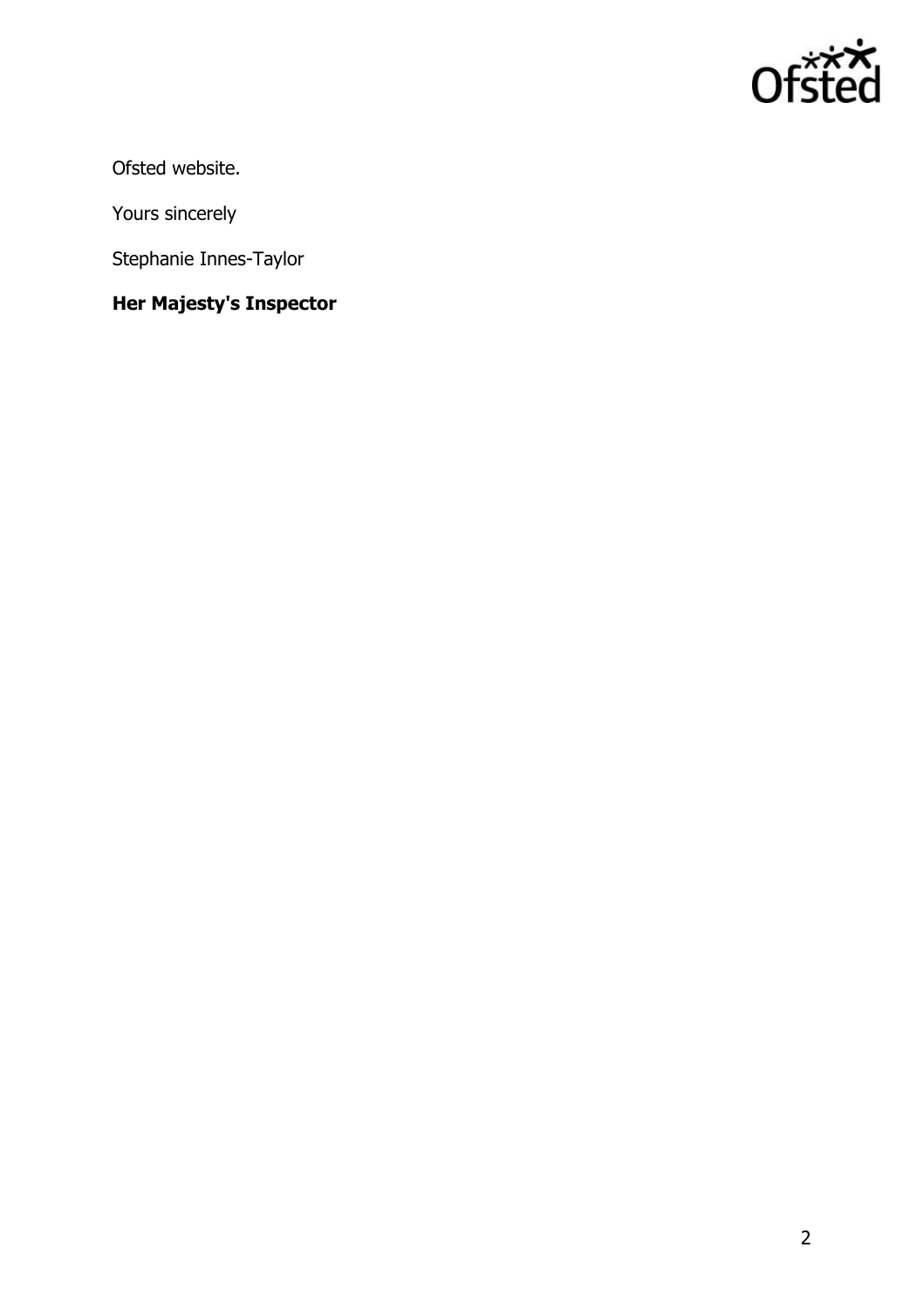

Ofsted website.

Yours sincerely

Stephanie Innes-Taylor

# **Her Majesty's Inspector**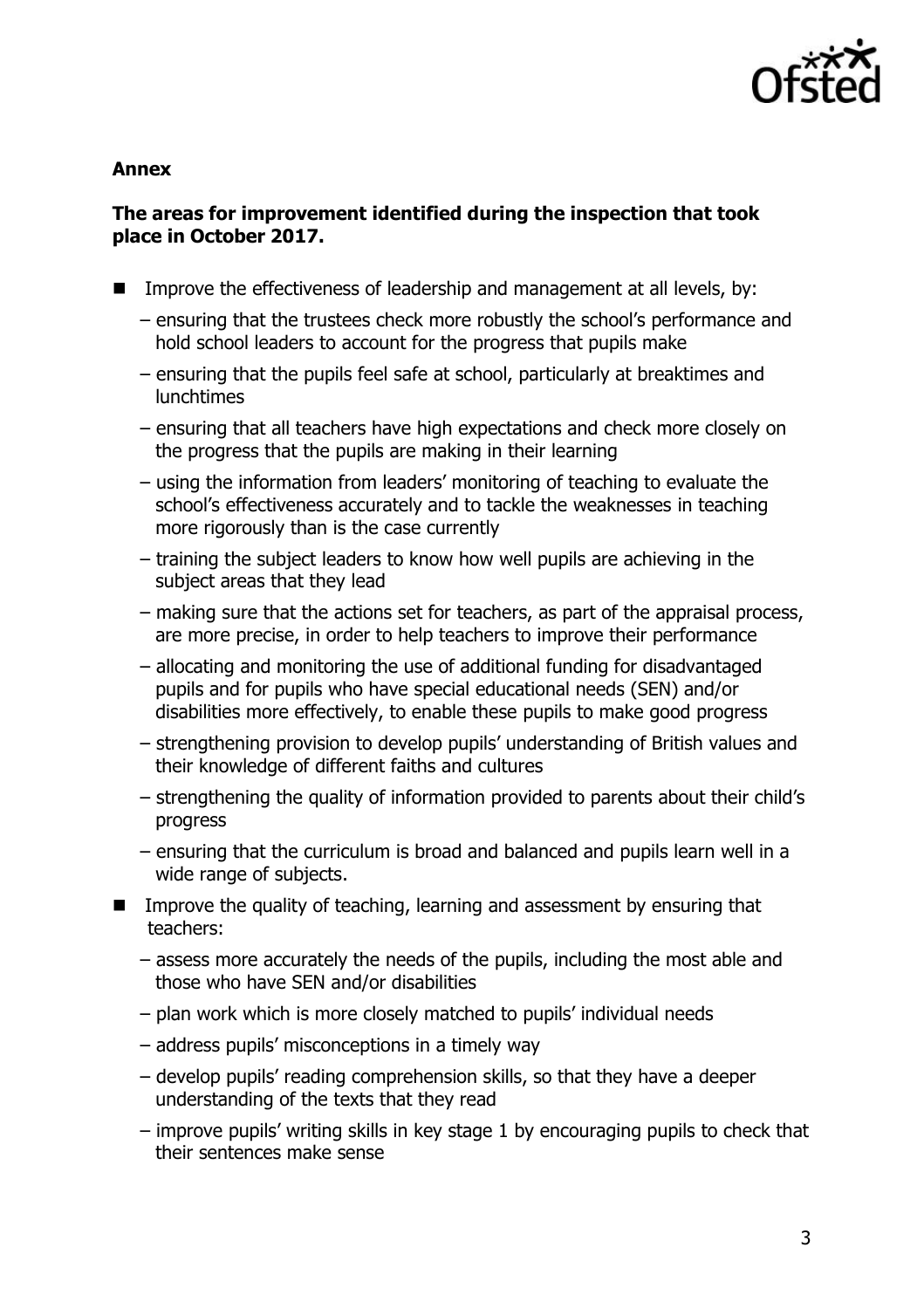

### **Annex**

# **The areas for improvement identified during the inspection that took place in October 2017.**

- Improve the effectiveness of leadership and management at all levels, by:
	- ensuring that the trustees check more robustly the school's performance and hold school leaders to account for the progress that pupils make
	- ensuring that the pupils feel safe at school, particularly at breaktimes and lunchtimes
	- ensuring that all teachers have high expectations and check more closely on the progress that the pupils are making in their learning
	- using the information from leaders' monitoring of teaching to evaluate the school's effectiveness accurately and to tackle the weaknesses in teaching more rigorously than is the case currently
	- training the subject leaders to know how well pupils are achieving in the subject areas that they lead
	- making sure that the actions set for teachers, as part of the appraisal process, are more precise, in order to help teachers to improve their performance
	- allocating and monitoring the use of additional funding for disadvantaged pupils and for pupils who have special educational needs (SEN) and/or disabilities more effectively, to enable these pupils to make good progress
	- strengthening provision to develop pupils' understanding of British values and their knowledge of different faiths and cultures
	- strengthening the quality of information provided to parents about their child's progress
	- ensuring that the curriculum is broad and balanced and pupils learn well in a wide range of subjects.
- Improve the quality of teaching, learning and assessment by ensuring that teachers:
	- assess more accurately the needs of the pupils, including the most able and those who have SEN and/or disabilities
	- plan work which is more closely matched to pupils' individual needs
	- address pupils' misconceptions in a timely way
	- develop pupils' reading comprehension skills, so that they have a deeper understanding of the texts that they read
	- improve pupils' writing skills in key stage 1 by encouraging pupils to check that their sentences make sense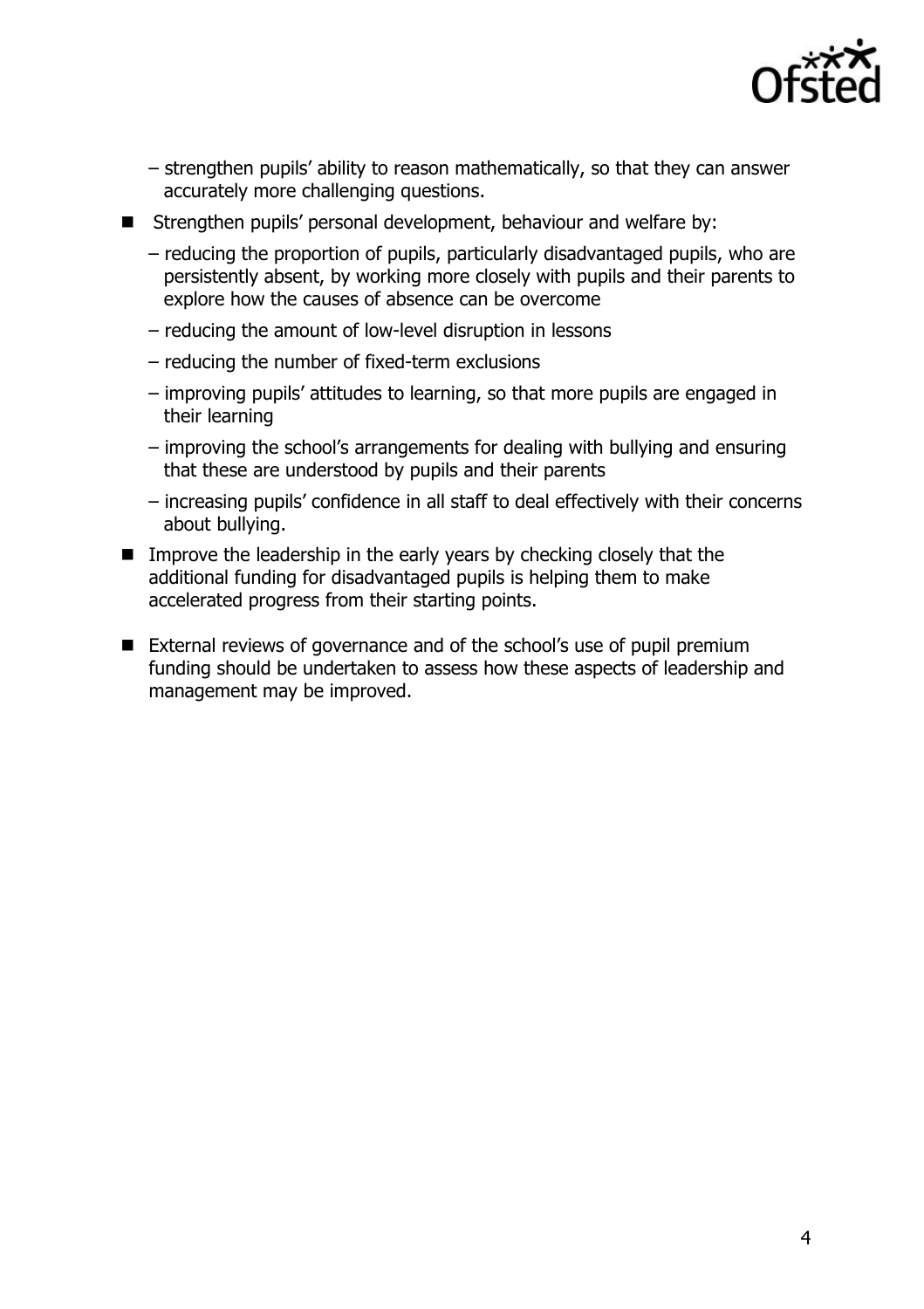

- strengthen pupils' ability to reason mathematically, so that they can answer accurately more challenging questions.
- Strengthen pupils' personal development, behaviour and welfare by:
	- reducing the proportion of pupils, particularly disadvantaged pupils, who are persistently absent, by working more closely with pupils and their parents to explore how the causes of absence can be overcome
	- reducing the amount of low-level disruption in lessons
	- reducing the number of fixed-term exclusions
	- improving pupils' attitudes to learning, so that more pupils are engaged in their learning
	- improving the school's arrangements for dealing with bullying and ensuring that these are understood by pupils and their parents
	- increasing pupils' confidence in all staff to deal effectively with their concerns about bullying.
- **IMPROVE THE leadership in the early years by checking closely that the** additional funding for disadvantaged pupils is helping them to make accelerated progress from their starting points.
- External reviews of governance and of the school's use of pupil premium funding should be undertaken to assess how these aspects of leadership and management may be improved.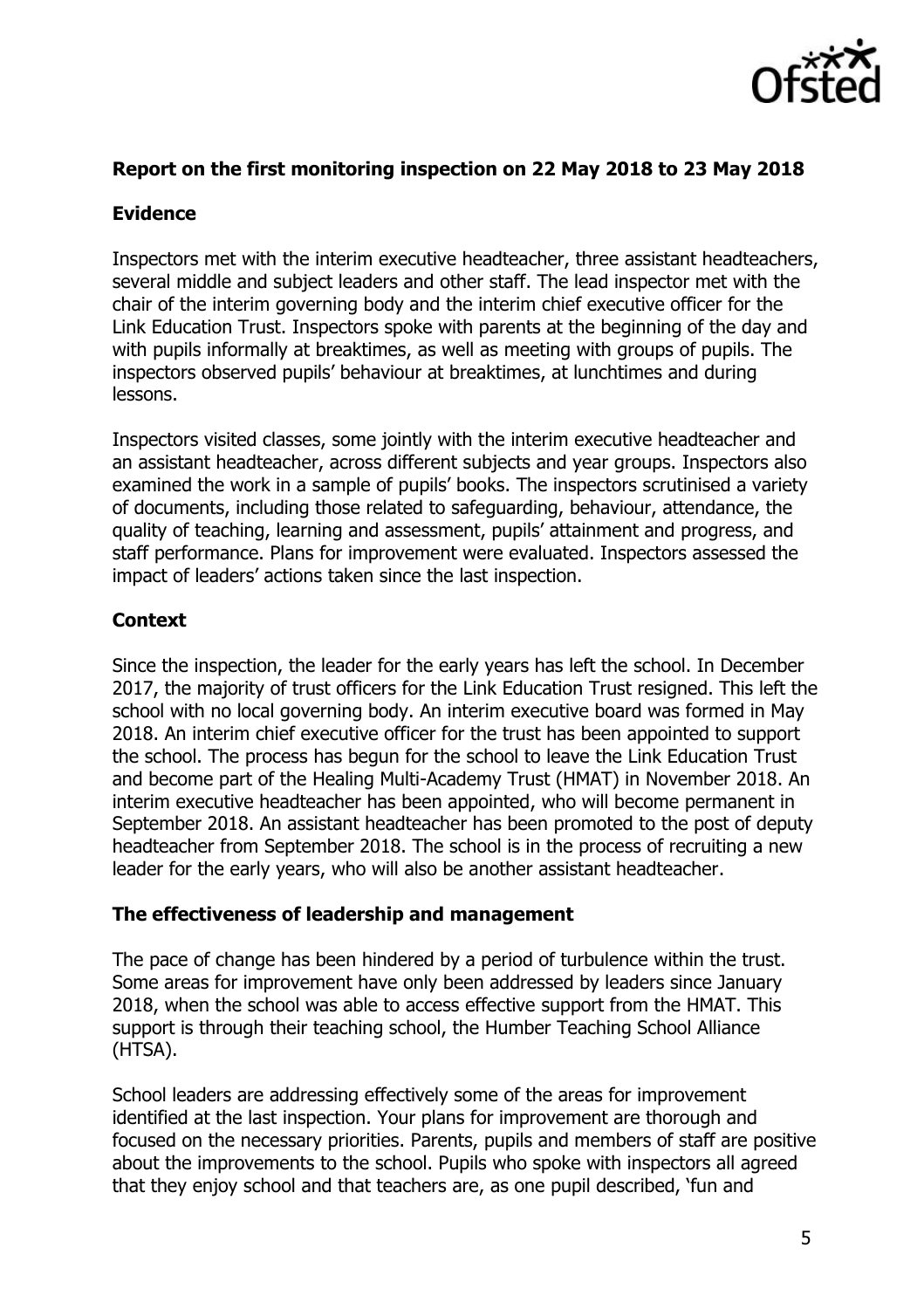

# **Report on the first monitoring inspection on 22 May 2018 to 23 May 2018**

# **Evidence**

Inspectors met with the interim executive headteacher, three assistant headteachers, several middle and subject leaders and other staff. The lead inspector met with the chair of the interim governing body and the interim chief executive officer for the Link Education Trust. Inspectors spoke with parents at the beginning of the day and with pupils informally at breaktimes, as well as meeting with groups of pupils. The inspectors observed pupils' behaviour at breaktimes, at lunchtimes and during lessons.

Inspectors visited classes, some jointly with the interim executive headteacher and an assistant headteacher, across different subjects and year groups. Inspectors also examined the work in a sample of pupils' books. The inspectors scrutinised a variety of documents, including those related to safeguarding, behaviour, attendance, the quality of teaching, learning and assessment, pupils' attainment and progress, and staff performance. Plans for improvement were evaluated. Inspectors assessed the impact of leaders' actions taken since the last inspection.

# **Context**

Since the inspection, the leader for the early years has left the school. In December 2017, the majority of trust officers for the Link Education Trust resigned. This left the school with no local governing body. An interim executive board was formed in May 2018. An interim chief executive officer for the trust has been appointed to support the school. The process has begun for the school to leave the Link Education Trust and become part of the Healing Multi-Academy Trust (HMAT) in November 2018. An interim executive headteacher has been appointed, who will become permanent in September 2018. An assistant headteacher has been promoted to the post of deputy headteacher from September 2018. The school is in the process of recruiting a new leader for the early years, who will also be another assistant headteacher.

## **The effectiveness of leadership and management**

The pace of change has been hindered by a period of turbulence within the trust. Some areas for improvement have only been addressed by leaders since January 2018, when the school was able to access effective support from the HMAT. This support is through their teaching school, the Humber Teaching School Alliance (HTSA).

School leaders are addressing effectively some of the areas for improvement identified at the last inspection. Your plans for improvement are thorough and focused on the necessary priorities. Parents, pupils and members of staff are positive about the improvements to the school. Pupils who spoke with inspectors all agreed that they enjoy school and that teachers are, as one pupil described, 'fun and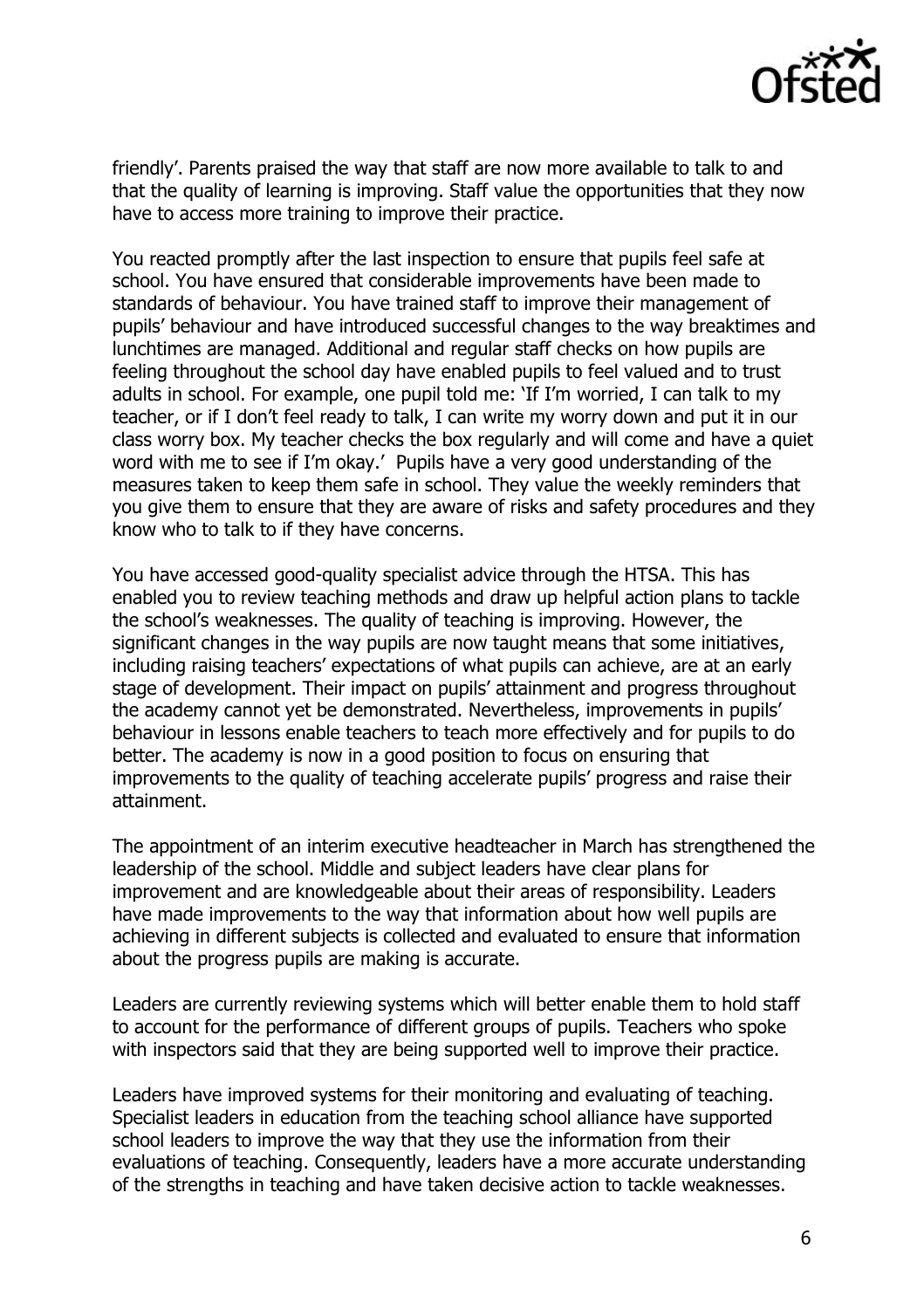

friendly'. Parents praised the way that staff are now more available to talk to and that the quality of learning is improving. Staff value the opportunities that they now have to access more training to improve their practice.

You reacted promptly after the last inspection to ensure that pupils feel safe at school. You have ensured that considerable improvements have been made to standards of behaviour. You have trained staff to improve their management of pupils' behaviour and have introduced successful changes to the way breaktimes and lunchtimes are managed. Additional and regular staff checks on how pupils are feeling throughout the school day have enabled pupils to feel valued and to trust adults in school. For example, one pupil told me: 'If I'm worried, I can talk to my teacher, or if I don't feel ready to talk, I can write my worry down and put it in our class worry box. My teacher checks the box regularly and will come and have a quiet word with me to see if I'm okay.' Pupils have a very good understanding of the measures taken to keep them safe in school. They value the weekly reminders that you give them to ensure that they are aware of risks and safety procedures and they know who to talk to if they have concerns.

You have accessed good-quality specialist advice through the HTSA. This has enabled you to review teaching methods and draw up helpful action plans to tackle the school's weaknesses. The quality of teaching is improving. However, the significant changes in the way pupils are now taught means that some initiatives, including raising teachers' expectations of what pupils can achieve, are at an early stage of development. Their impact on pupils' attainment and progress throughout the academy cannot yet be demonstrated. Nevertheless, improvements in pupils' behaviour in lessons enable teachers to teach more effectively and for pupils to do better. The academy is now in a good position to focus on ensuring that improvements to the quality of teaching accelerate pupils' progress and raise their attainment.

The appointment of an interim executive headteacher in March has strengthened the leadership of the school. Middle and subject leaders have clear plans for improvement and are knowledgeable about their areas of responsibility. Leaders have made improvements to the way that information about how well pupils are achieving in different subjects is collected and evaluated to ensure that information about the progress pupils are making is accurate.

Leaders are currently reviewing systems which will better enable them to hold staff to account for the performance of different groups of pupils. Teachers who spoke with inspectors said that they are being supported well to improve their practice.

Leaders have improved systems for their monitoring and evaluating of teaching. Specialist leaders in education from the teaching school alliance have supported school leaders to improve the way that they use the information from their evaluations of teaching. Consequently, leaders have a more accurate understanding of the strengths in teaching and have taken decisive action to tackle weaknesses.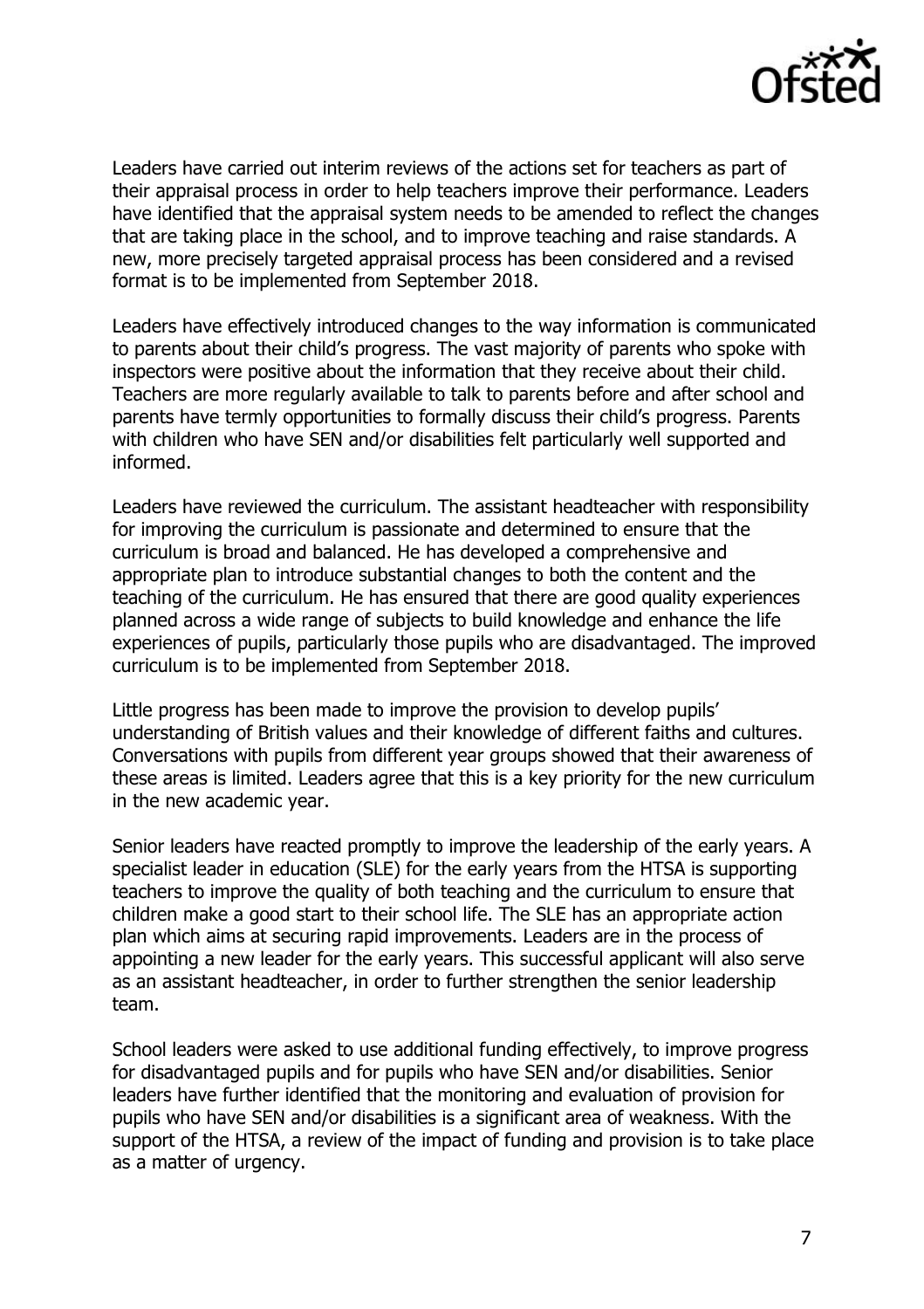

Leaders have carried out interim reviews of the actions set for teachers as part of their appraisal process in order to help teachers improve their performance. Leaders have identified that the appraisal system needs to be amended to reflect the changes that are taking place in the school, and to improve teaching and raise standards. A new, more precisely targeted appraisal process has been considered and a revised format is to be implemented from September 2018.

Leaders have effectively introduced changes to the way information is communicated to parents about their child's progress. The vast majority of parents who spoke with inspectors were positive about the information that they receive about their child. Teachers are more regularly available to talk to parents before and after school and parents have termly opportunities to formally discuss their child's progress. Parents with children who have SEN and/or disabilities felt particularly well supported and informed.

Leaders have reviewed the curriculum. The assistant headteacher with responsibility for improving the curriculum is passionate and determined to ensure that the curriculum is broad and balanced. He has developed a comprehensive and appropriate plan to introduce substantial changes to both the content and the teaching of the curriculum. He has ensured that there are good quality experiences planned across a wide range of subjects to build knowledge and enhance the life experiences of pupils, particularly those pupils who are disadvantaged. The improved curriculum is to be implemented from September 2018.

Little progress has been made to improve the provision to develop pupils' understanding of British values and their knowledge of different faiths and cultures. Conversations with pupils from different year groups showed that their awareness of these areas is limited. Leaders agree that this is a key priority for the new curriculum in the new academic year.

Senior leaders have reacted promptly to improve the leadership of the early years. A specialist leader in education (SLE) for the early years from the HTSA is supporting teachers to improve the quality of both teaching and the curriculum to ensure that children make a good start to their school life. The SLE has an appropriate action plan which aims at securing rapid improvements. Leaders are in the process of appointing a new leader for the early years. This successful applicant will also serve as an assistant headteacher, in order to further strengthen the senior leadership team.

School leaders were asked to use additional funding effectively, to improve progress for disadvantaged pupils and for pupils who have SEN and/or disabilities. Senior leaders have further identified that the monitoring and evaluation of provision for pupils who have SEN and/or disabilities is a significant area of weakness. With the support of the HTSA, a review of the impact of funding and provision is to take place as a matter of urgency.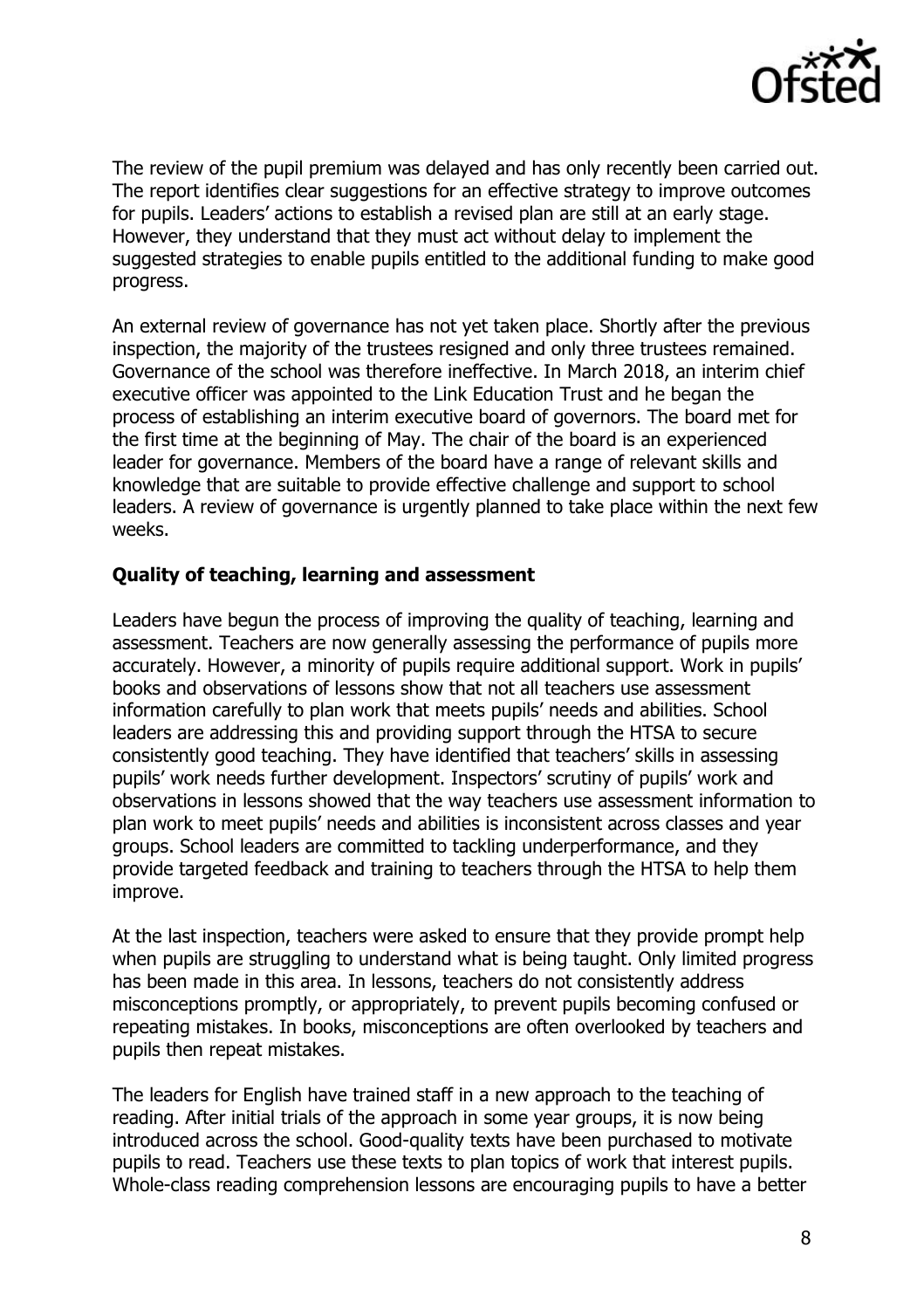

The review of the pupil premium was delayed and has only recently been carried out. The report identifies clear suggestions for an effective strategy to improve outcomes for pupils. Leaders' actions to establish a revised plan are still at an early stage. However, they understand that they must act without delay to implement the suggested strategies to enable pupils entitled to the additional funding to make good progress.

An external review of governance has not yet taken place. Shortly after the previous inspection, the majority of the trustees resigned and only three trustees remained. Governance of the school was therefore ineffective. In March 2018, an interim chief executive officer was appointed to the Link Education Trust and he began the process of establishing an interim executive board of governors. The board met for the first time at the beginning of May. The chair of the board is an experienced leader for governance. Members of the board have a range of relevant skills and knowledge that are suitable to provide effective challenge and support to school leaders. A review of governance is urgently planned to take place within the next few weeks.

#### **Quality of teaching, learning and assessment**

Leaders have begun the process of improving the quality of teaching, learning and assessment. Teachers are now generally assessing the performance of pupils more accurately. However, a minority of pupils require additional support. Work in pupils' books and observations of lessons show that not all teachers use assessment information carefully to plan work that meets pupils' needs and abilities. School leaders are addressing this and providing support through the HTSA to secure consistently good teaching. They have identified that teachers' skills in assessing pupils' work needs further development. Inspectors' scrutiny of pupils' work and observations in lessons showed that the way teachers use assessment information to plan work to meet pupils' needs and abilities is inconsistent across classes and year groups. School leaders are committed to tackling underperformance, and they provide targeted feedback and training to teachers through the HTSA to help them improve.

At the last inspection, teachers were asked to ensure that they provide prompt help when pupils are struggling to understand what is being taught. Only limited progress has been made in this area. In lessons, teachers do not consistently address misconceptions promptly, or appropriately, to prevent pupils becoming confused or repeating mistakes. In books, misconceptions are often overlooked by teachers and pupils then repeat mistakes.

The leaders for English have trained staff in a new approach to the teaching of reading. After initial trials of the approach in some year groups, it is now being introduced across the school. Good-quality texts have been purchased to motivate pupils to read. Teachers use these texts to plan topics of work that interest pupils. Whole-class reading comprehension lessons are encouraging pupils to have a better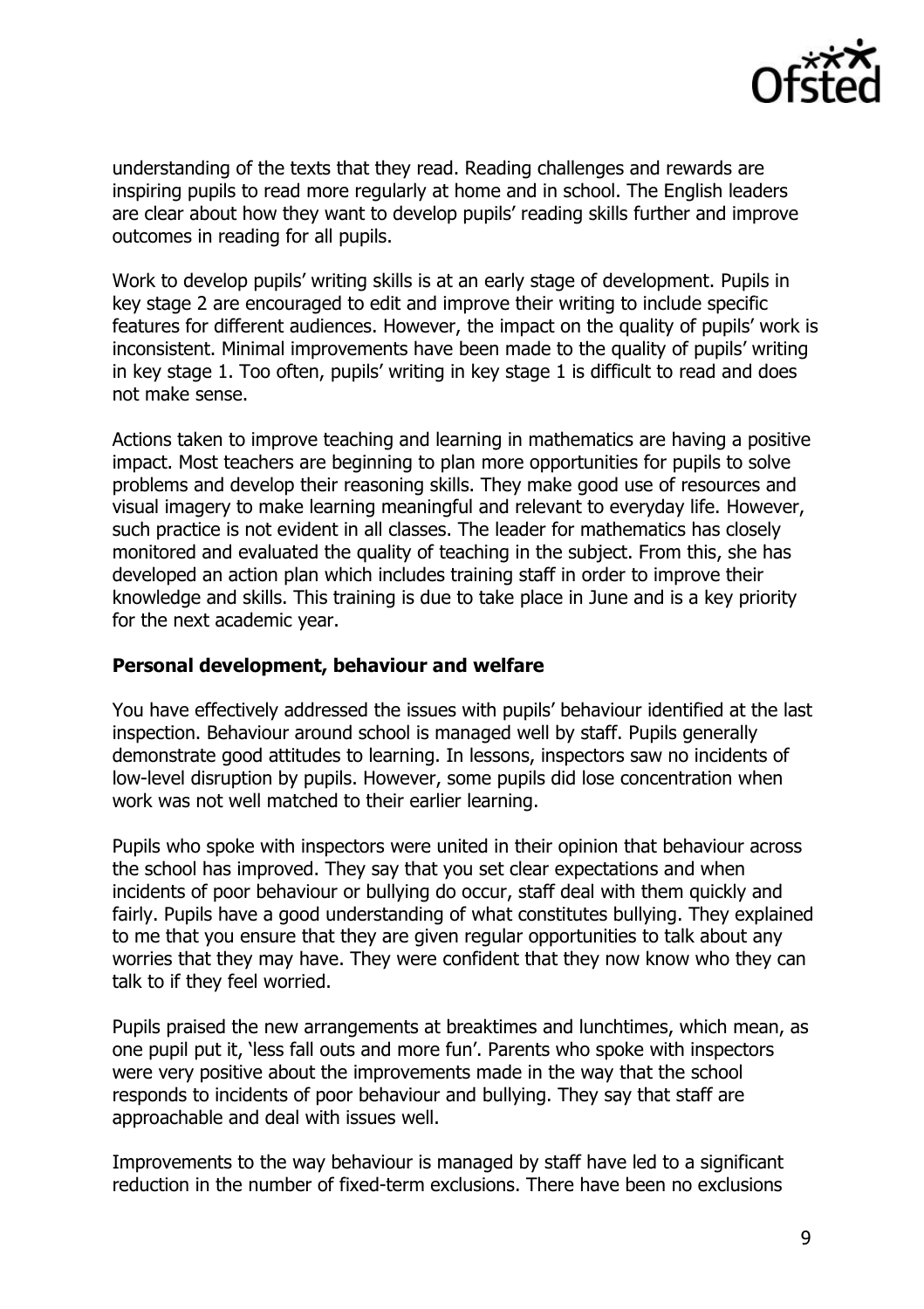

understanding of the texts that they read. Reading challenges and rewards are inspiring pupils to read more regularly at home and in school. The English leaders are clear about how they want to develop pupils' reading skills further and improve outcomes in reading for all pupils.

Work to develop pupils' writing skills is at an early stage of development. Pupils in key stage 2 are encouraged to edit and improve their writing to include specific features for different audiences. However, the impact on the quality of pupils' work is inconsistent. Minimal improvements have been made to the quality of pupils' writing in key stage 1. Too often, pupils' writing in key stage 1 is difficult to read and does not make sense.

Actions taken to improve teaching and learning in mathematics are having a positive impact. Most teachers are beginning to plan more opportunities for pupils to solve problems and develop their reasoning skills. They make good use of resources and visual imagery to make learning meaningful and relevant to everyday life. However, such practice is not evident in all classes. The leader for mathematics has closely monitored and evaluated the quality of teaching in the subject. From this, she has developed an action plan which includes training staff in order to improve their knowledge and skills. This training is due to take place in June and is a key priority for the next academic year.

### **Personal development, behaviour and welfare**

You have effectively addressed the issues with pupils' behaviour identified at the last inspection. Behaviour around school is managed well by staff. Pupils generally demonstrate good attitudes to learning. In lessons, inspectors saw no incidents of low-level disruption by pupils. However, some pupils did lose concentration when work was not well matched to their earlier learning.

Pupils who spoke with inspectors were united in their opinion that behaviour across the school has improved. They say that you set clear expectations and when incidents of poor behaviour or bullying do occur, staff deal with them quickly and fairly. Pupils have a good understanding of what constitutes bullying. They explained to me that you ensure that they are given regular opportunities to talk about any worries that they may have. They were confident that they now know who they can talk to if they feel worried.

Pupils praised the new arrangements at breaktimes and lunchtimes, which mean, as one pupil put it, 'less fall outs and more fun'. Parents who spoke with inspectors were very positive about the improvements made in the way that the school responds to incidents of poor behaviour and bullying. They say that staff are approachable and deal with issues well.

Improvements to the way behaviour is managed by staff have led to a significant reduction in the number of fixed-term exclusions. There have been no exclusions